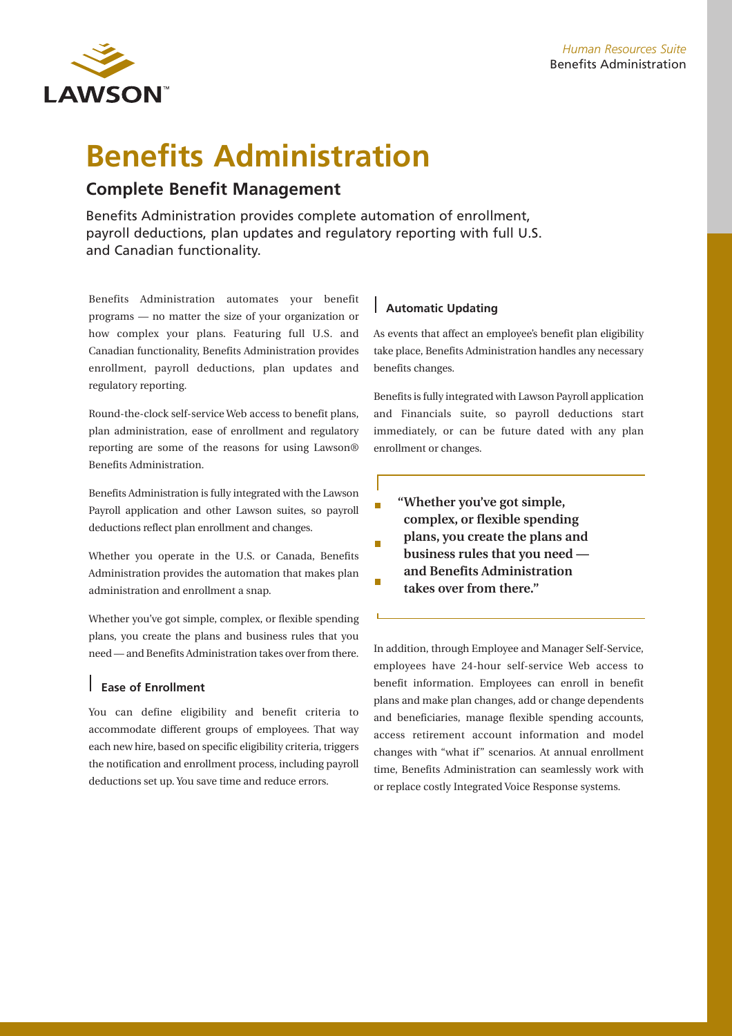

# **Benefits Administration**

## **Complete Benefit Management**

Benefits Administration provides complete automation of enrollment, payroll deductions, plan updates and regulatory reporting with full U.S. and Canadian functionality.

Benefits Administration automates your benefit programs — no matter the size of your organization or how complex your plans. Featuring full U.S. and Canadian functionality, Benefits Administration provides enrollment, payroll deductions, plan updates and regulatory reporting.

Round-the-clock self-service Web access to benefit plans, plan administration, ease of enrollment and regulatory reporting are some of the reasons for using Lawson® Benefits Administration.

Benefits Administration is fully integrated with the Lawson Payroll application and other Lawson suites, so payroll deductions reflect plan enrollment and changes.

Whether you operate in the U.S. or Canada, Benefits Administration provides the automation that makes plan administration and enrollment a snap.

Whether you've got simple, complex, or flexible spending plans, you create the plans and business rules that you need — and Benefits Administration takes over from there.

## **Ease of Enrollment**

You can define eligibility and benefit criteria to accommodate different groups of employees. That way each new hire, based on specific eligibility criteria, triggers the notification and enrollment process, including payroll deductions set up. You save time and reduce errors.

## **Automatic Updating**

As events that affect an employee's benefit plan eligibility take place, Benefits Administration handles any necessary benefits changes.

Benefits is fully integrated with Lawson Payroll application and Financials suite, so payroll deductions start immediately, or can be future dated with any plan enrollment or changes.

**"Whether you've got simple,** r **complex, or flexible spending plans, you create the plans and** × **business rules that you need —**

**and Benefits Administration**  $\Gamma$ **takes over from there."**

In addition, through Employee and Manager Self-Service, employees have 24-hour self-service Web access to benefit information. Employees can enroll in benefit plans and make plan changes, add or change dependents and beneficiaries, manage flexible spending accounts, access retirement account information and model changes with "what if" scenarios. At annual enrollment time, Benefits Administration can seamlessly work with or replace costly Integrated Voice Response systems.